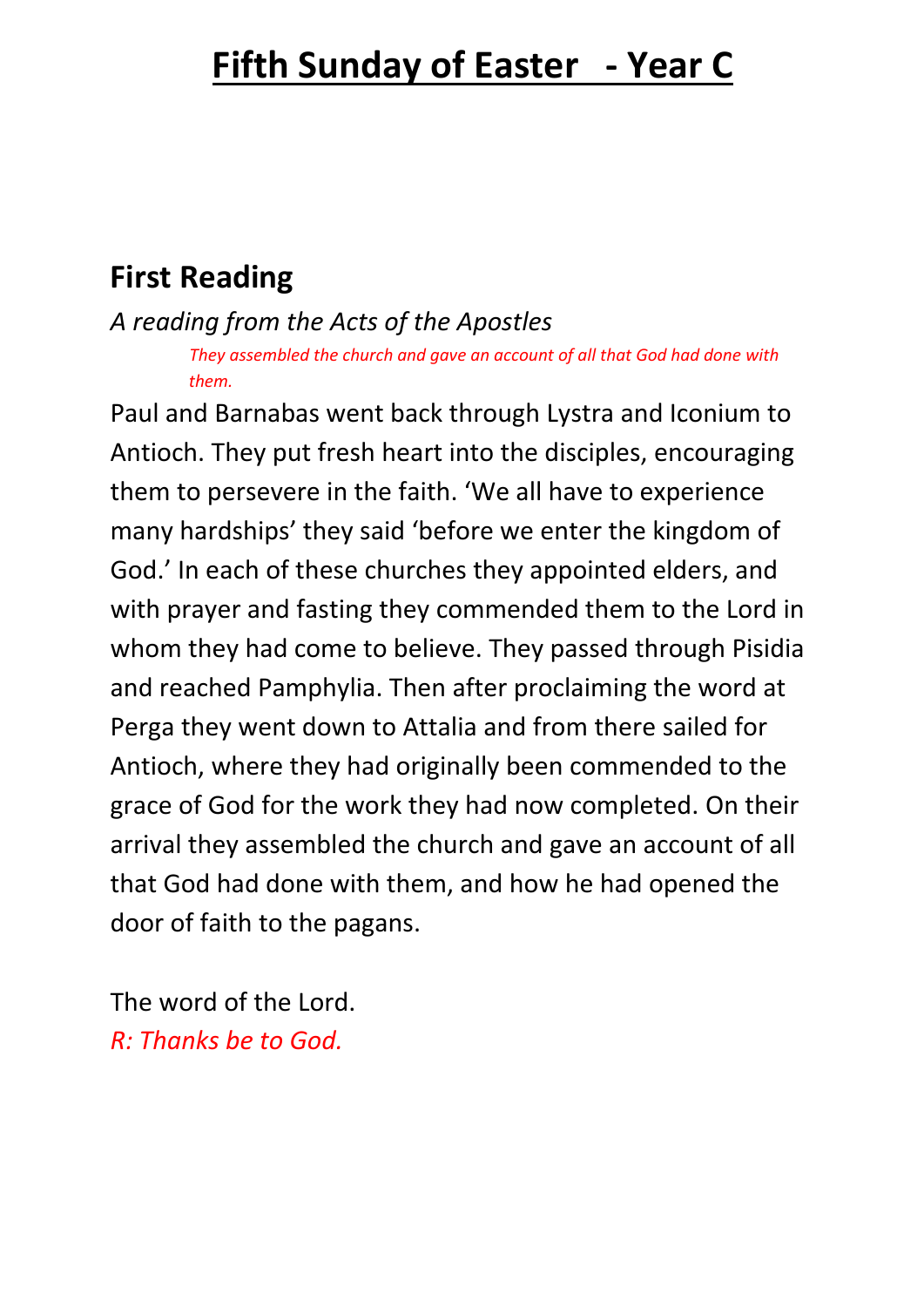# **First Reading**

*A reading from the Acts of the Apostles*

*They assembled the church and gave an account of all that God had done with them.* 

Paul and Barnabas went back through Lystra and Iconium to Antioch. They put fresh heart into the disciples, encouraging them to persevere in the faith. 'We all have to experience many hardships' they said 'before we enter the kingdom of God.' In each of these churches they appointed elders, and with prayer and fasting they commended them to the Lord in whom they had come to believe. They passed through Pisidia and reached Pamphylia. Then after proclaiming the word at Perga they went down to Attalia and from there sailed for Antioch, where they had originally been commended to the grace of God for the work they had now completed. On their arrival they assembled the church and gave an account of all that God had done with them, and how he had opened the door of faith to the pagans.

The word of the Lord. *R: Thanks be to God.*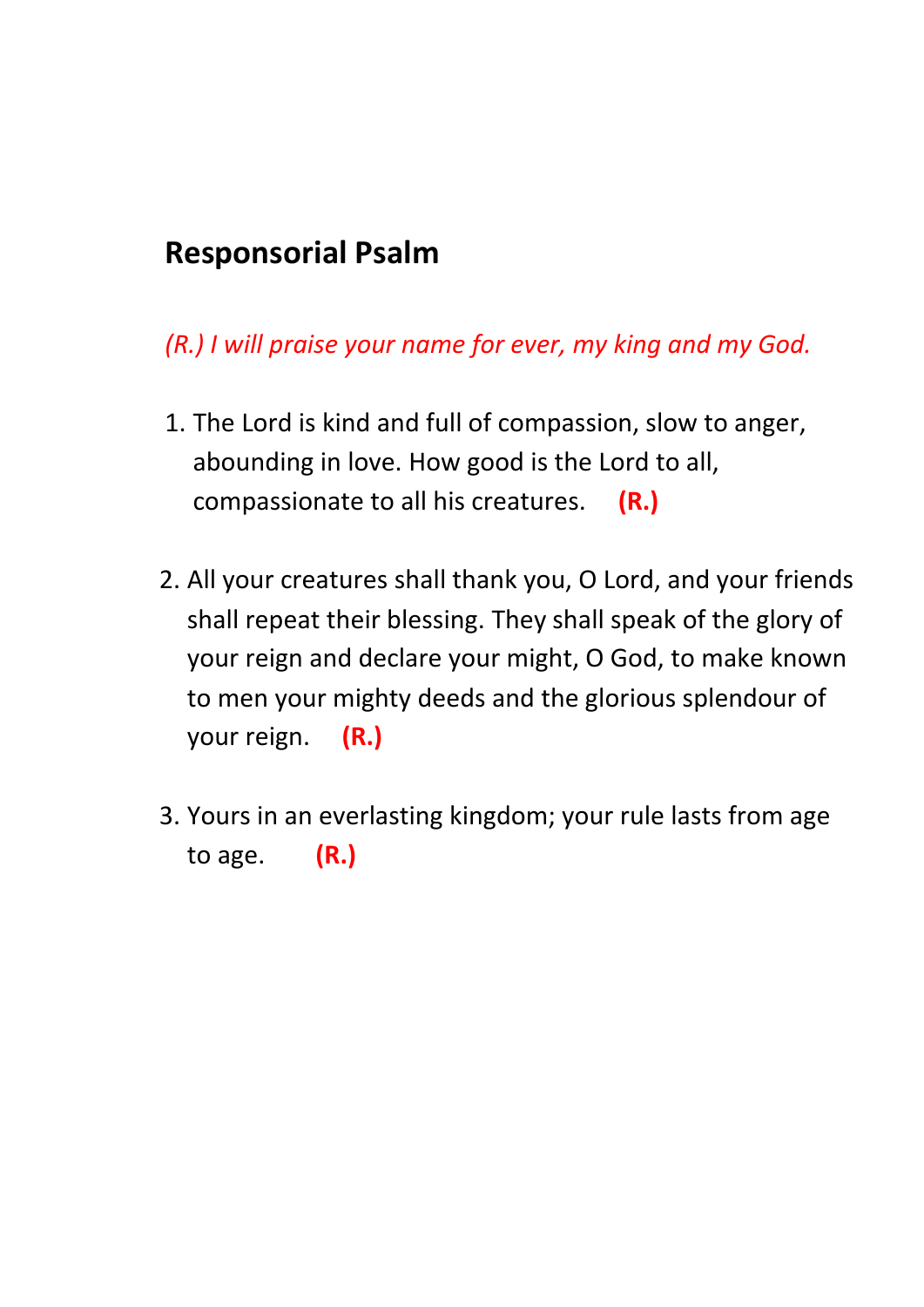### **Responsorial Psalm**

#### *(R.) I will praise your name for ever, my king and my God.*

- 1. The Lord is kind and full of compassion, slow to anger, abounding in love. How good is the Lord to all, compassionate to all his creatures. **(R.)**
- 2. All your creatures shall thank you, O Lord, and your friends shall repeat their blessing. They shall speak of the glory of your reign and declare your might, O God, to make known to men your mighty deeds and the glorious splendour of your reign. **(R.)**
- 3. Yours in an everlasting kingdom; your rule lasts from age to age. **(R.)**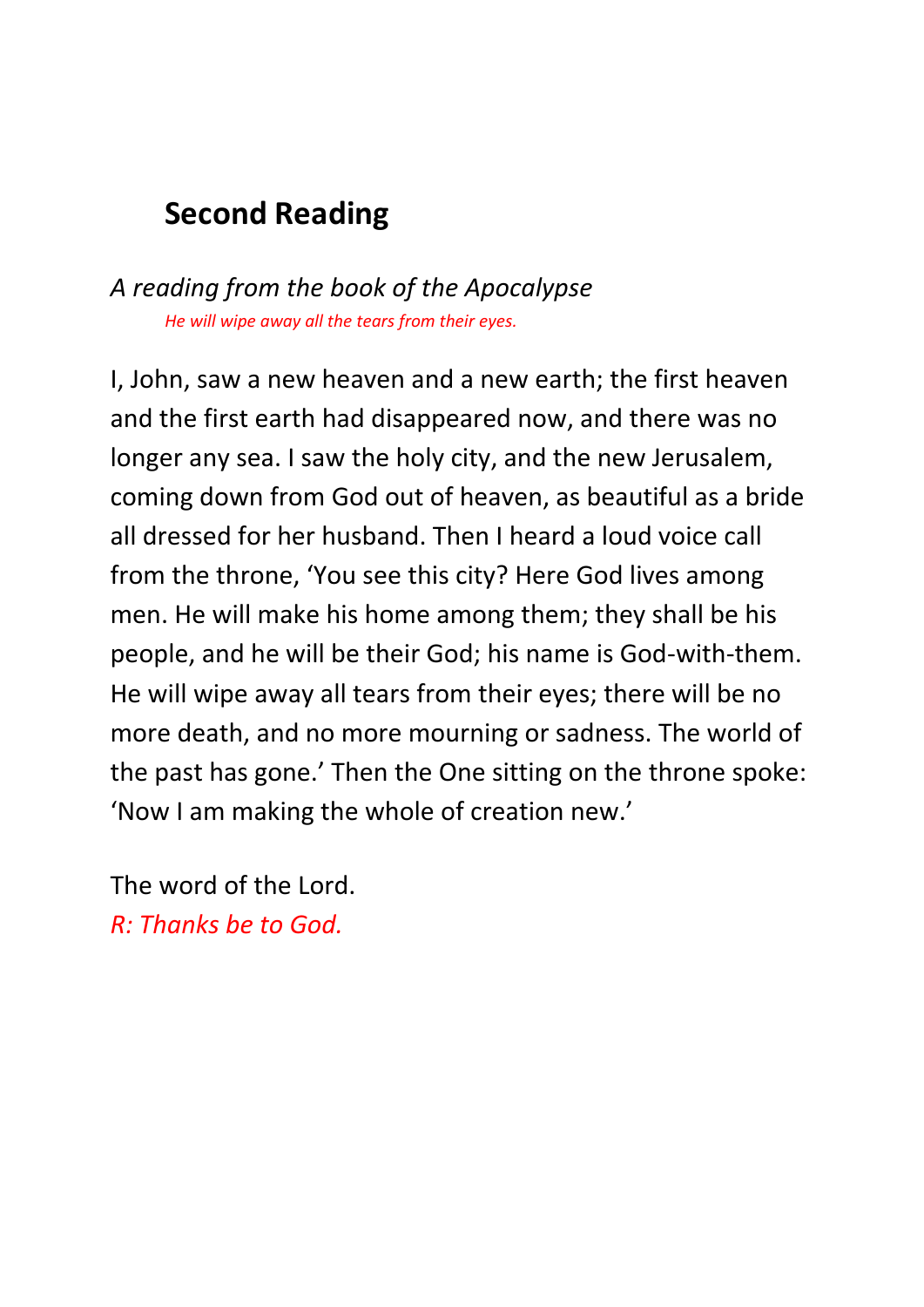# **Second Reading**

#### *A reading from the book of the Apocalypse He will wipe away all the tears from their eyes.*

I, John, saw a new heaven and a new earth; the first heaven and the first earth had disappeared now, and there was no longer any sea. I saw the holy city, and the new Jerusalem, coming down from God out of heaven, as beautiful as a bride all dressed for her husband. Then I heard a loud voice call from the throne, 'You see this city? Here God lives among men. He will make his home among them; they shall be his people, and he will be their God; his name is God-with-them. He will wipe away all tears from their eyes; there will be no more death, and no more mourning or sadness. The world of the past has gone.' Then the One sitting on the throne spoke: 'Now I am making the whole of creation new.'

The word of the Lord. *R: Thanks be to God.*